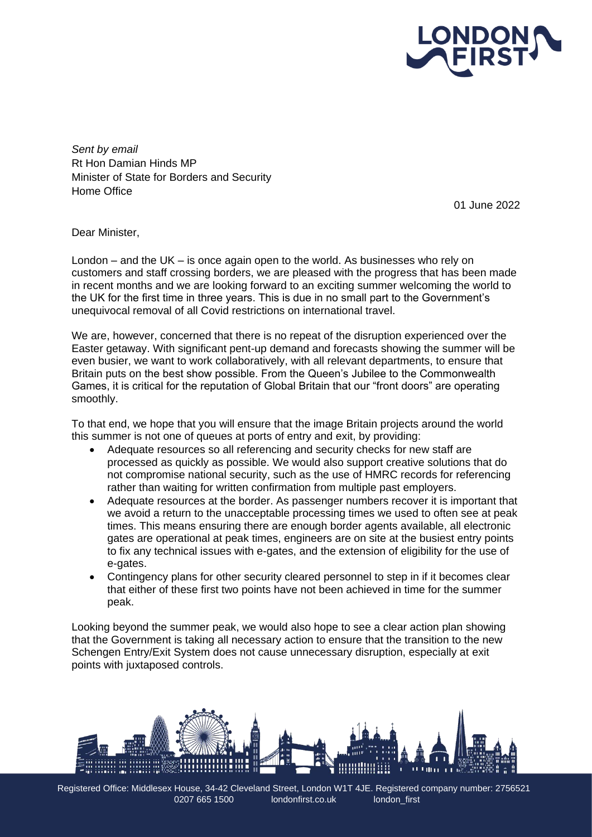

*Sent by email* Rt Hon Damian Hinds MP Minister of State for Borders and Security Home Office

01 June 2022

Dear Minister,

London – and the UK – is once again open to the world. As businesses who rely on customers and staff crossing borders, we are pleased with the progress that has been made in recent months and we are looking forward to an exciting summer welcoming the world to the UK for the first time in three years. This is due in no small part to the Government's unequivocal removal of all Covid restrictions on international travel.

We are, however, concerned that there is no repeat of the disruption experienced over the Easter getaway. With significant pent-up demand and forecasts showing the summer will be even busier, we want to work collaboratively, with all relevant departments, to ensure that Britain puts on the best show possible. From the Queen's Jubilee to the Commonwealth Games, it is critical for the reputation of Global Britain that our "front doors" are operating smoothly.

To that end, we hope that you will ensure that the image Britain projects around the world this summer is not one of queues at ports of entry and exit, by providing:

- Adequate resources so all referencing and security checks for new staff are processed as quickly as possible. We would also support creative solutions that do not compromise national security, such as the use of HMRC records for referencing rather than waiting for written confirmation from multiple past employers.
- Adequate resources at the border. As passenger numbers recover it is important that we avoid a return to the unacceptable processing times we used to often see at peak times. This means ensuring there are enough border agents available, all electronic gates are operational at peak times, engineers are on site at the busiest entry points to fix any technical issues with e-gates, and the extension of eligibility for the use of e-gates.
- Contingency plans for other security cleared personnel to step in if it becomes clear that either of these first two points have not been achieved in time for the summer peak.

Looking beyond the summer peak, we would also hope to see a clear action plan showing that the Government is taking all necessary action to ensure that the transition to the new Schengen Entry/Exit System does not cause unnecessary disruption, especially at exit points with juxtaposed controls.



Registered Office: Middlesex House, 34-42 Cleveland Street, London W1T 4JE. Registered company number: 2756521 0207 665 1500 londonfirst.co.uk london\_first